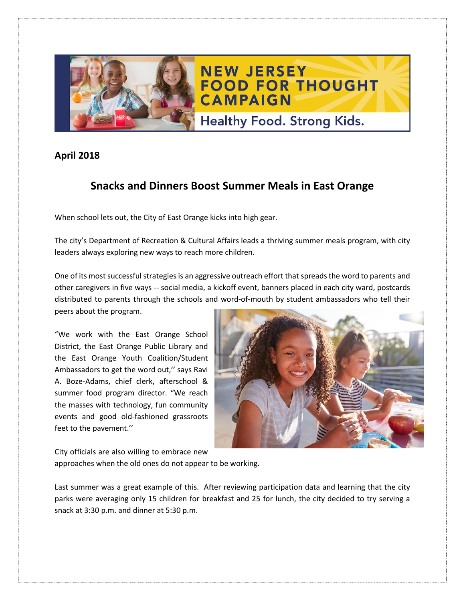

## **April 2018**

## **Snacks and Dinners Boost Summer Meals in East Orange**

When school lets out, the City of East Orange kicks into high gear.

The city's Department of Recreation & Cultural Affairs leads a thriving summer meals program, with city leaders always exploring new ways to reach more children.

One of its most successful strategies is an aggressive outreach effort that spreadsthe word to parents and other caregivers in five ways -- social media, a kickoff event, banners placed in each city ward, postcards distributed to parents through the schools and word-of-mouth by student ambassadors who tell their peers about the program.

"We work with the East Orange School District, the East Orange Public Library and the East Orange Youth Coalition/Student Ambassadors to get the word out,'' says Ravi A. Boze-Adams, chief clerk, afterschool & summer food program director. "We reach the masses with technology, fun community events and good old-fashioned grassroots feet to the pavement.''



City officials are also willing to embrace new

approaches when the old ones do not appear to be working.

Last summer was a great example of this. After reviewing participation data and learning that the city parks were averaging only 15 children for breakfast and 25 for lunch, the city decided to try serving a snack at 3:30 p.m. and dinner at 5:30 p.m.